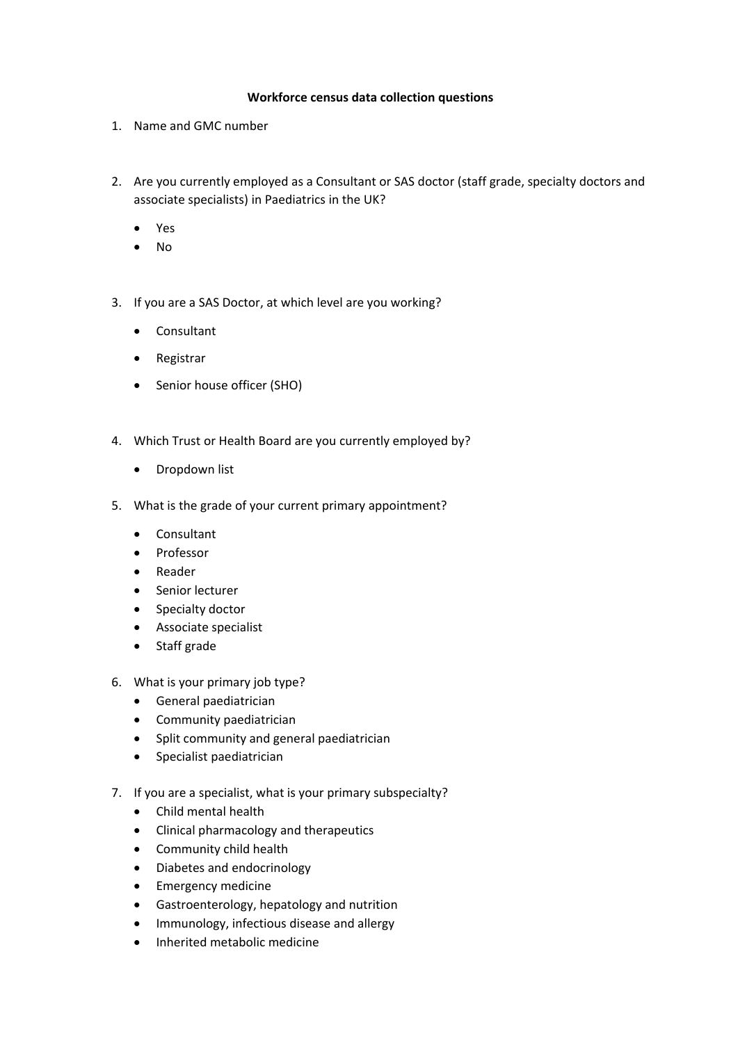## **Workforce census data collection questions**

- 1. Name and GMC number
- 2. Are you currently employed as a Consultant or SAS doctor (staff grade, specialty doctors and associate specialists) in Paediatrics in the UK?
	- Yes
	- No
- 3. If you are a SAS Doctor, at which level are you working?
	- Consultant
	- Registrar
	- Senior house officer (SHO)
- 4. Which Trust or Health Board are you currently employed by?
	- Dropdown list
- 5. What is the grade of your current primary appointment?
	- Consultant
	- Professor
	- Reader
	- Senior lecturer
	- Specialty doctor
	- Associate specialist
	- Staff grade
- 6. What is your primary job type?
	- General paediatrician
	- Community paediatrician
	- Split community and general paediatrician
	- Specialist paediatrician
- 7. If you are a specialist, what is your primary subspecialty?
	- Child mental health
	- Clinical pharmacology and therapeutics
	- Community child health
	- Diabetes and endocrinology
	- Emergency medicine
	- Gastroenterology, hepatology and nutrition
	- Immunology, infectious disease and allergy
	- Inherited metabolic medicine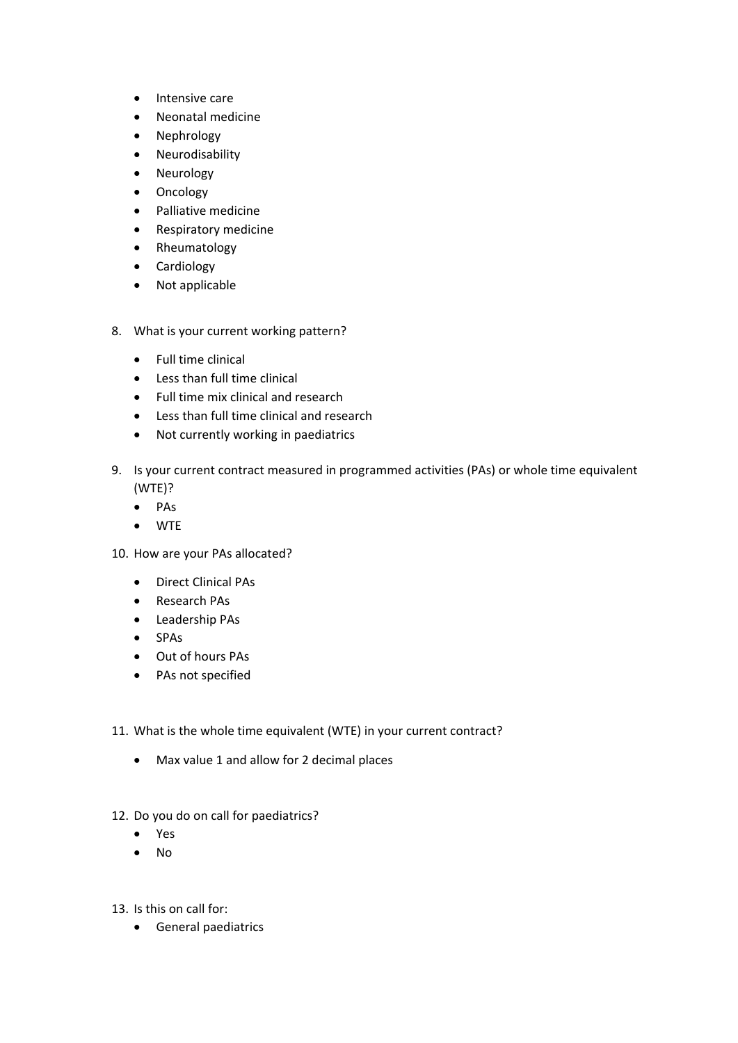- Intensive care
- Neonatal medicine
- Nephrology
- Neurodisability
- Neurology
- Oncology
- Palliative medicine
- Respiratory medicine
- Rheumatology
- Cardiology
- Not applicable
- 8. What is your current working pattern?
	- Full time clinical
	- Less than full time clinical
	- Full time mix clinical and research
	- Less than full time clinical and research
	- Not currently working in paediatrics
- 9. Is your current contract measured in programmed activities (PAs) or whole time equivalent (WTE)?
	- PAs
	- WTE
- 10. How are your PAs allocated?
	- Direct Clinical PAs
	- Research PAs
	- Leadership PAs
	- SPAs
	- Out of hours PAs
	- PAs not specified
- 11. What is the whole time equivalent (WTE) in your current contract?
	- Max value 1 and allow for 2 decimal places
- 12. Do you do on call for paediatrics?
	- Yes
	- No
- 13. Is this on call for:
	- General paediatrics